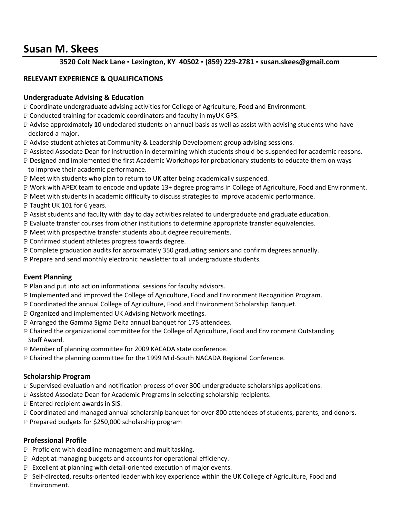# **Susan M. Skees**

## **3520 Colt Neck Lane ▪ Lexington, KY 40502 ▪ (859) 229-2781 ▪ susan.skees@gmail.com**

### **RELEVANT EXPERIENCE & QUALIFICATIONS**

#### **Undergraduate Advising & Education**

- P Coordinate undergraduate advising activities for College of Agriculture, Food and Environment.
- P Conducted training for academic coordinators and faculty in myUK GPS.
- P Advise approximately **1**0 undeclared students on annual basis as well as assist with advising students who have declared a major.
- P Advise student athletes at Community & Leadership Development group advising sessions.
- P Assisted Associate Dean for Instruction in determining which students should be suspended for academic reasons.
- P Designed and implemented the first Academic Workshops for probationary students to educate them on ways to improve their academic performance.
- P Meet with students who plan to return to UK after being academically suspended.
- P Work with APEX team to encode and update 13+ degree programs in College of Agriculture, Food and Environment.
- P Meet with students in academic difficulty to discuss strategies to improve academic performance.
- P Taught UK 101 for 6 years.
- P Assist students and faculty with day to day activities related to undergraduate and graduate education.
- P Evaluate transfer courses from other institutions to determine appropriate transfer equivalencies.
- P Meet with prospective transfer students about degree requirements.
- P Confirmed student athletes progress towards degree.
- P Complete graduation audits for aproximately 350 graduating seniors and confirm degrees annually.
- P Prepare and send monthly electronic newsletter to all undergraduate students.

#### **Event Planning**

- P Plan and put into action informational sessions for faculty advisors.
- P Implemented and improved the College of Agriculture, Food and Environment Recognition Program.
- P Coordinated the annual College of Agriculture, Food and Environment Scholarship Banquet.
- P Organized and implemented UK Advising Network meetings.
- P Arranged the Gamma Sigma Delta annual banquet for 175 attendees.
- P Chaired the organizational committee for the College of Agriculture, Food and Environment Outstanding Staff Award.
- P Member of planning committee for 2009 KACADA state conference.
- P Chaired the planning committee for the 1999 Mid-South NACADA Regional Conference.

#### **Scholarship Program**

- P Supervised evaluation and notification process of over 300 undergraduate scholarships applications.
- P Assisted Associate Dean for Academic Programs in selecting scholarship recipients.
- P Entered recipient awards in SIS.
- P Coordinated and managed annual scholarship banquet for over 800 attendees of students, parents, and donors.
- P Prepared budgets for \$250,000 scholarship program

#### **Professional Profile**

- P Proficient with deadline management and multitasking.
- P Adept at managing budgets and accounts for operational efficiency.
- P Excellent at planning with detail-oriented execution of major events.
- P Self-directed, results-oriented leader with key experience within the UK College of Agriculture, Food and Environment.